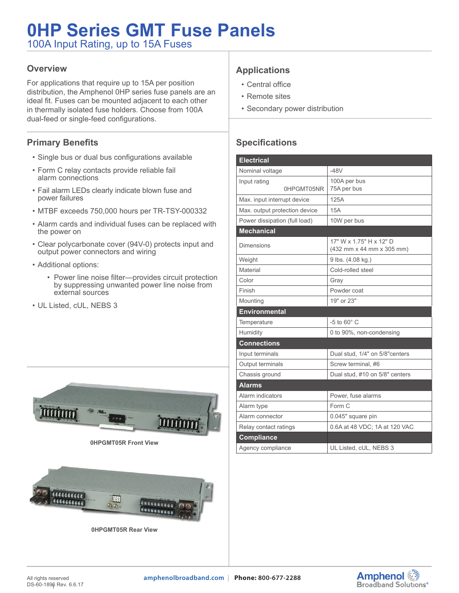# **0HP Series GMT Fuse Panels**

100A Input Rating, up to 15A Fuses

#### **Overview**

For applications that require up to 15A per position distribution, the Amphenol 0HP series fuse panels are an ideal fit. Fuses can be mounted adjacent to each other in thermally isolated fuse holders. Choose from 100A dual-feed or single-feed configurations.

#### **Primary Benefits**

- Single bus or dual bus configurations available
- Form C relay contacts provide reliable fail alarm connections
- Fail alarm LEDs clearly indicate blown fuse and power failures
- MTBF exceeds 750,000 hours per TR-TSY-000332
- Alarm cards and individual fuses can be replaced with the power on
- Clear polycarbonate cover (94V-0) protects input and output power connectors and wiring
- Additional options:
	- Power line noise filter—provides circuit protection by suppressing unwanted power line noise from external sources
- UL Listed, cUL, NEBS 3



**0HPGMT05R Front View**



**0HPGMT05R Rear View**

## **Applications**

- Central office
- Remote sites
- Secondary power distribution

### **Specifications**

| <b>Electrical</b>             |                                                      |  |
|-------------------------------|------------------------------------------------------|--|
| Nominal voltage               | $-48V$                                               |  |
| Input rating<br>0HPGMT05NR    | 100A per bus<br>75A per bus                          |  |
| Max. input interrupt device   | 125A                                                 |  |
| Max. output protection device | 15A                                                  |  |
| Power dissipation (full load) | 10W per bus                                          |  |
| <b>Mechanical</b>             |                                                      |  |
| Dimensions                    | 17" W x 1.75" H x 12" D<br>(432 mm x 44 mm x 305 mm) |  |
| Weight                        | 9 lbs. (4.08 kg.)                                    |  |
| Material                      | Cold-rolled steel                                    |  |
| Color                         | Gray                                                 |  |
| Finish                        | Powder coat                                          |  |
| Mounting                      | 19" or 23"                                           |  |
| <b>Environmental</b>          |                                                      |  |
| Temperature                   | $-5$ to $60^\circ$ C                                 |  |
| Humidity                      | 0 to 90%, non-condensing                             |  |
| <b>Connections</b>            |                                                      |  |
| Input terminals               | Dual stud, 1/4" on 5/8" centers                      |  |
| Output terminals              | Screw terminal. #6                                   |  |
| Chassis ground                | Dual stud, #10 on 5/8" centers                       |  |
| <b>Alarms</b>                 |                                                      |  |
| Alarm indicators              | Power, fuse alarms                                   |  |
| Alarm type                    | Form C                                               |  |
| Alarm connector               | 0.045" square pin                                    |  |
| Relay contact ratings         | 0.6A at 48 VDC; 1A at 120 VAC                        |  |
| <b>Compliance</b>             |                                                      |  |
| Agency compliance             | UL Listed, cUL, NEBS 3                               |  |